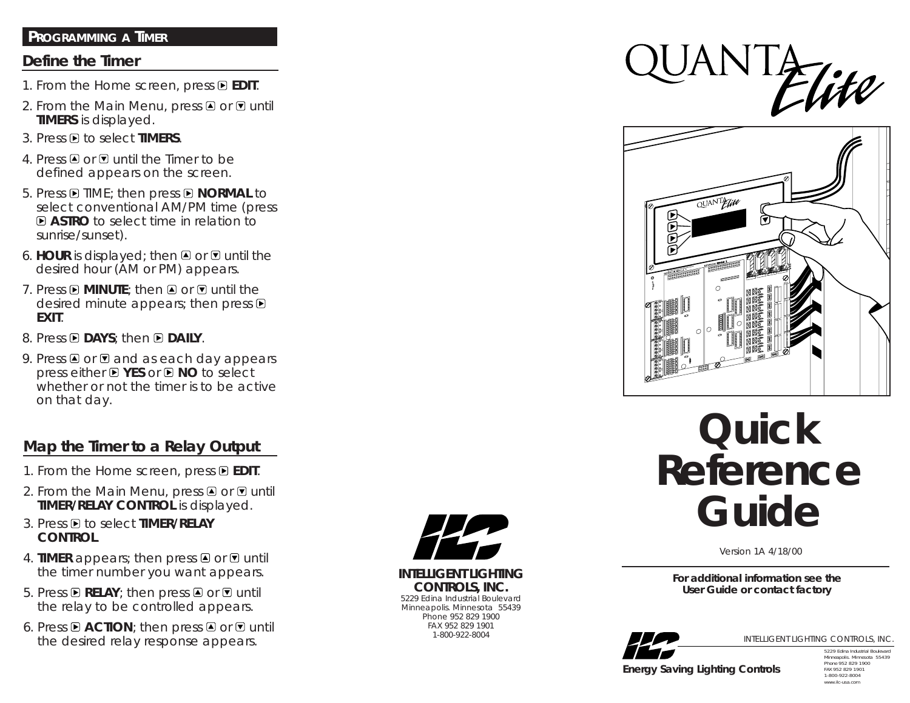#### **PROGRAMMING A TIMER**

#### **Define the Timer**

- 1. From the Home screen, press **E EDIT**.
- 2. From the Main Menu, press  $\Box$  or  $\Box$  until **TIMERS** is displayed.
- 3. Press to select **TIMERS**.
- 4. Press  $\blacksquare$  or  $\blacksquare$  until the Timer to be defined appears on the screen.
- 5. Press  $\blacksquare$  TIME; then press  $\blacksquare$  **NORMAL** to select conventional AM/PM time (press **ASTRO** to select time in relation to sunrise/sunset).
- 6. **HOUR** is displayed; then  $\blacksquare$  or  $\blacksquare$  until the desired hour (AM or PM) appears.
- 7. Press  $\blacksquare$  **MINUTE**; then  $\blacksquare$  or  $\blacksquare$  until the desired minute appears; then press  $\blacksquare$ **EXIT**.
- 8. Press **DAYS**; then **DAILY**.
- 9. Press  $\triangle$  or  $\triangle$  and as each day appears press either **YES** or **NO** to select whether or not the timer is to be active on that day.

#### **Map the Timer to a Relay Output**

- 1. From the Home screen, press **E EDIT**.
- 2. From the Main Menu, press  $\triangle$  or  $\triangle$  until **TIMER/RELAY CONTROL** is displayed.
- 3. Press **D** to select **TIMER/RELAY CONTROL**.
- 4. **TIMER** appears; then press  $\blacksquare$  or  $\blacksquare$  until the timer number you want appears.
- 5. Press **E RELAY**; then press **E** or **E** until the relay to be controlled appears.
- 6. Press  $\blacksquare$  **ACTION**; then press  $\blacksquare$  or  $\blacksquare$  until the desired relay response appears.



**INTELLIGENT LIGHTING CONTROLS, INC.** 5229 Edina Industrial Boulevard Minneapolis. Minnesota 55439 Phone 952 829 1900 FAX 952 829 1901 1-800-922-8004





# **Quick Reference Guide**

Version 1A 4/18/00

**For additional information see the User Guide or contact factory**



INTELLIGENT LIGHTING CONTROLS, INC.

*Energy Saving Lighting Controls*

5229 Edina Industrial Boulevard Minneapolis. Minnesota 55439 Phone 952 829 1900 FAX 952 829 1901 1-800-922-8004 www.ilc-usa.com